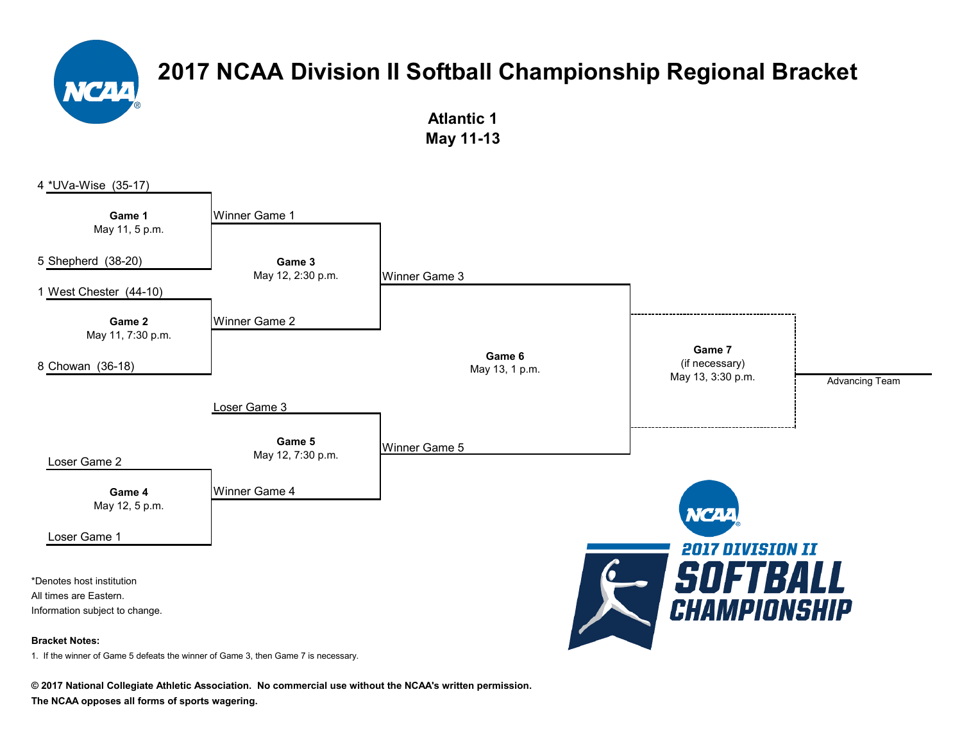> **Atlantic 1 May 11-13**



1. If the winner of Game 5 defeats the winner of Game 3, then Game 7 is necessary.

**© 2017 National Collegiate Athletic Association. No commercial use without the NCAA's written permission. The NCAA opposes all forms of sports wagering.**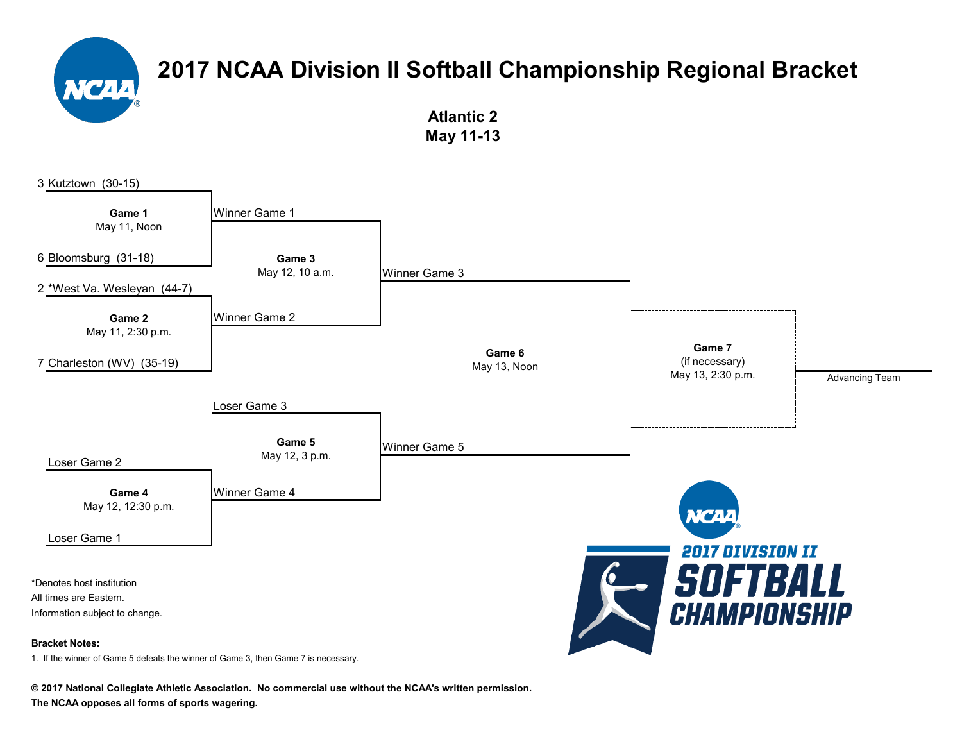**Atlantic 2 May 11-13**



**© 2017 National Collegiate Athletic Association. No commercial use without the NCAA's written permission.**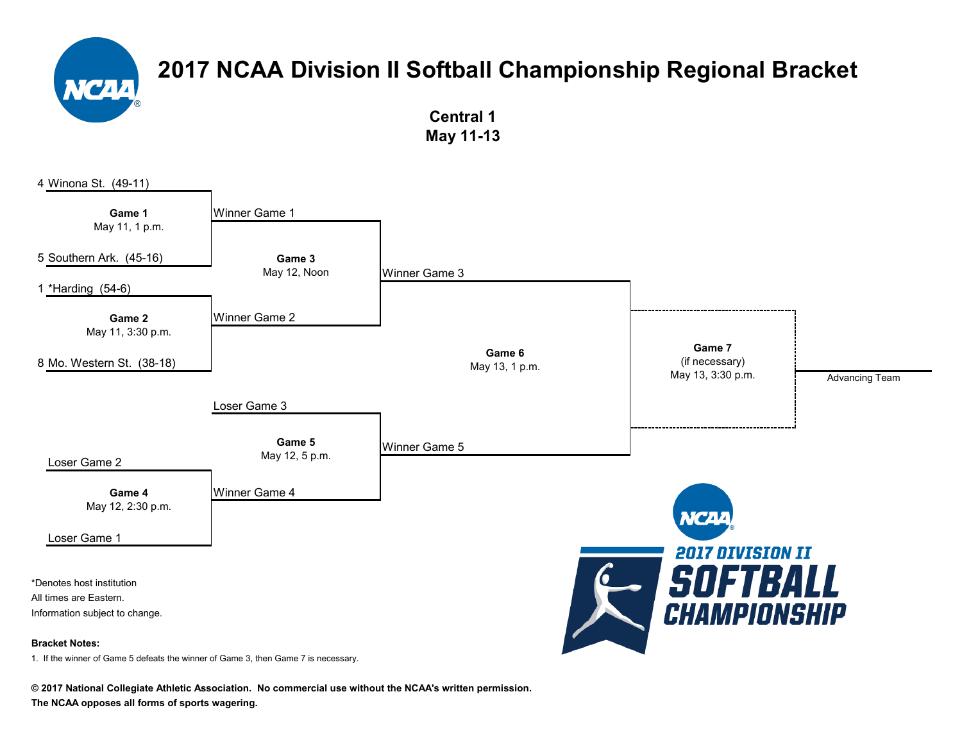**Central 1 May 11-13**



**© 2017 National Collegiate Athletic Association. No commercial use without the NCAA's written permission.**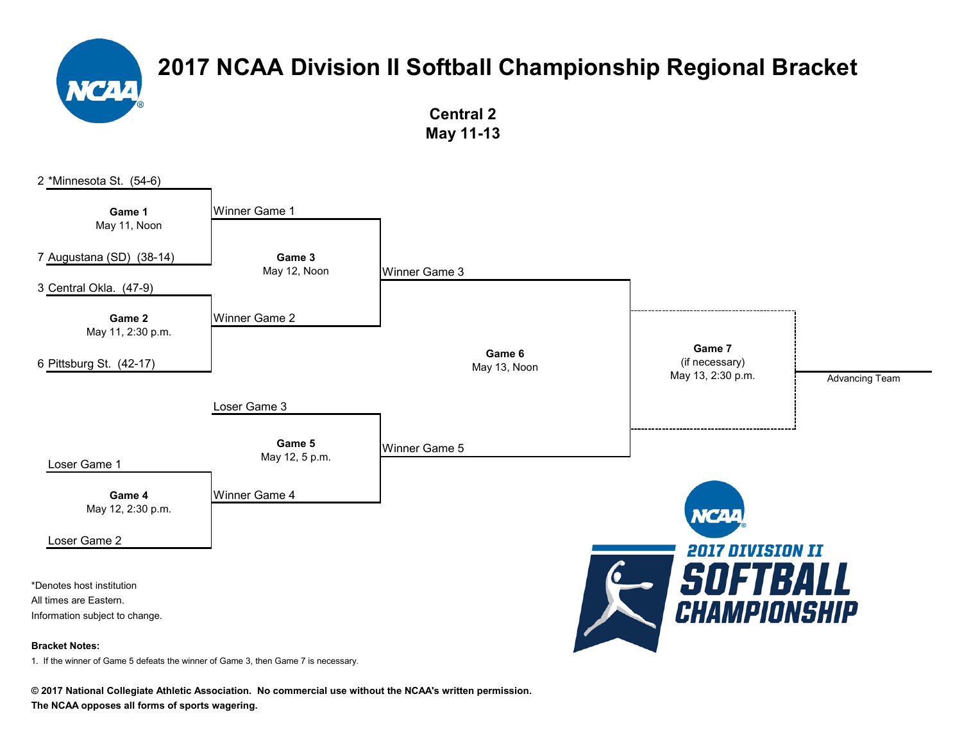

**Central 2 May 11-13**



**© 2017 National Collegiate Athletic Association. No commercial use without the NCAA's written permission.**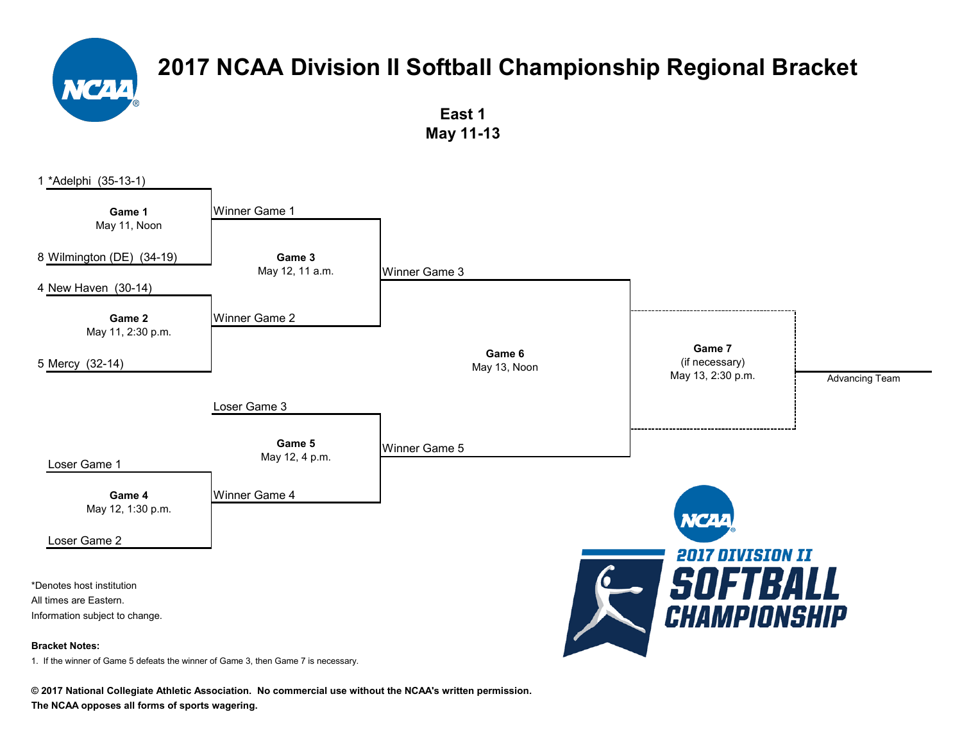

**East 1 May 11-13**



**© 2017 National Collegiate Athletic Association. No commercial use without the NCAA's written permission.**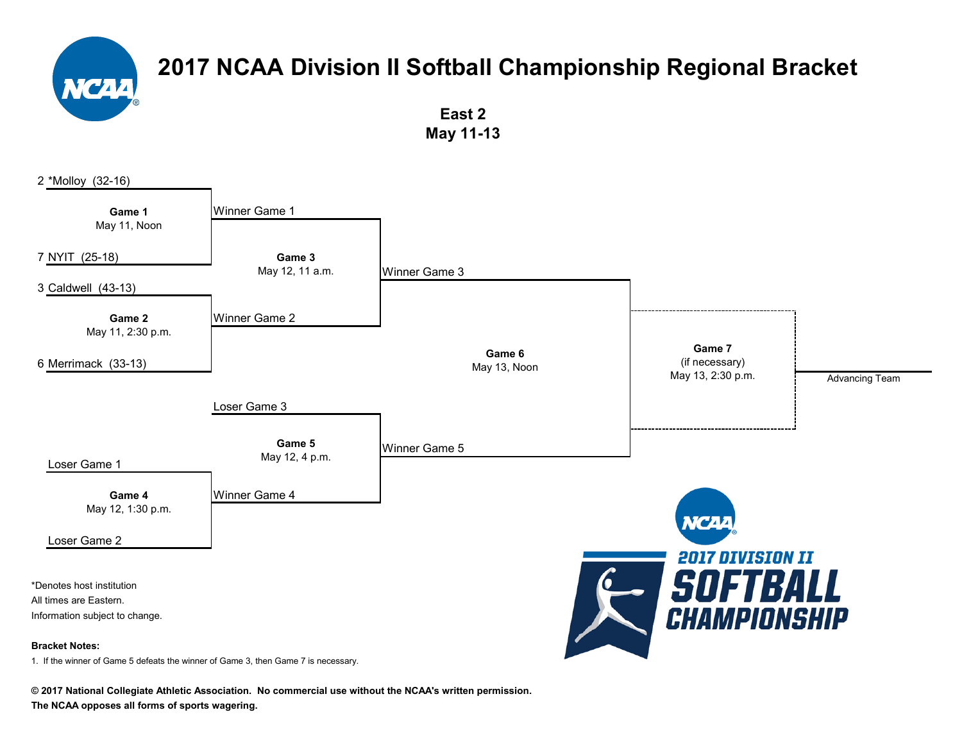

**East 2 May 11-13**



**© 2017 National Collegiate Athletic Association. No commercial use without the NCAA's written permission.**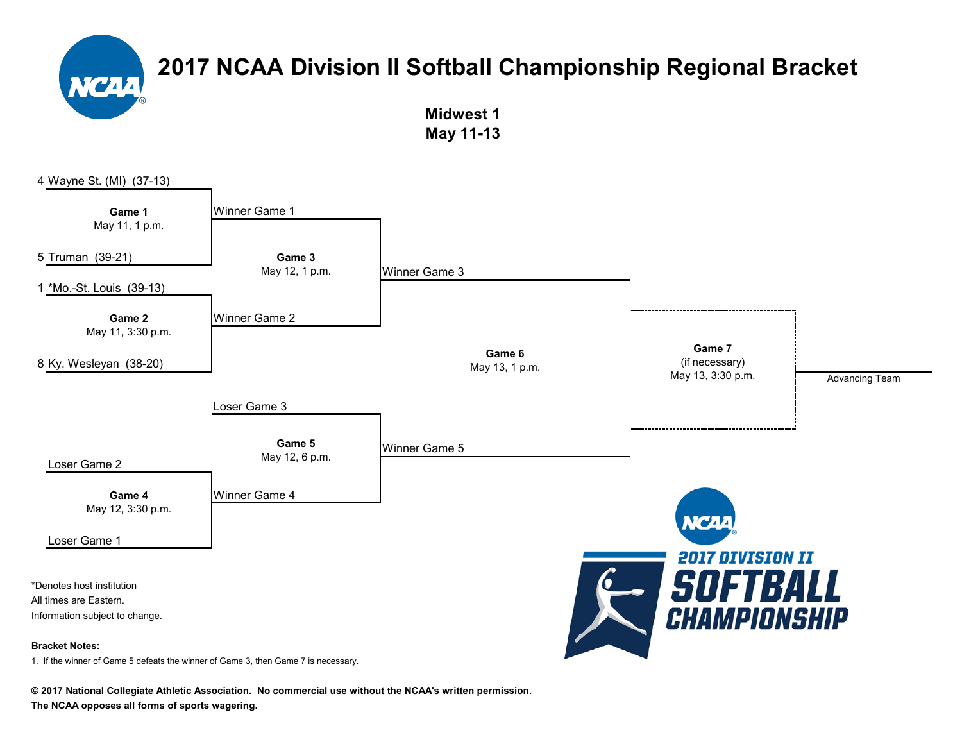> **Midwest 1 May 11-13**



**© 2017 National Collegiate Athletic Association. No commercial use without the NCAA's written permission.**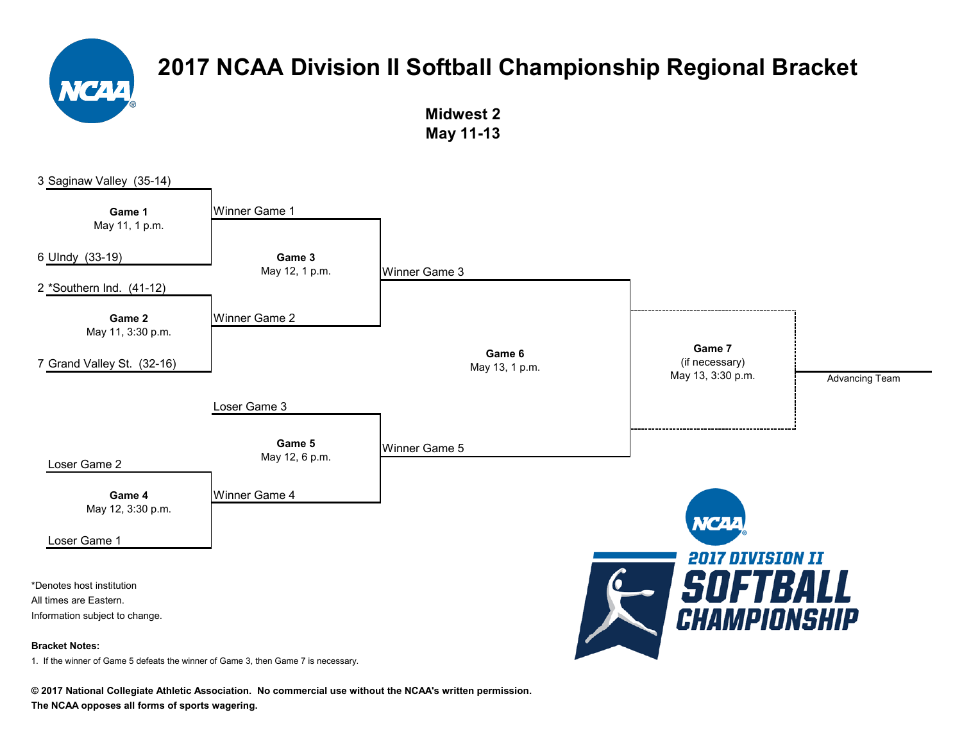

**Midwest 2 May 11-13**



**© 2017 National Collegiate Athletic Association. No commercial use without the NCAA's written permission.**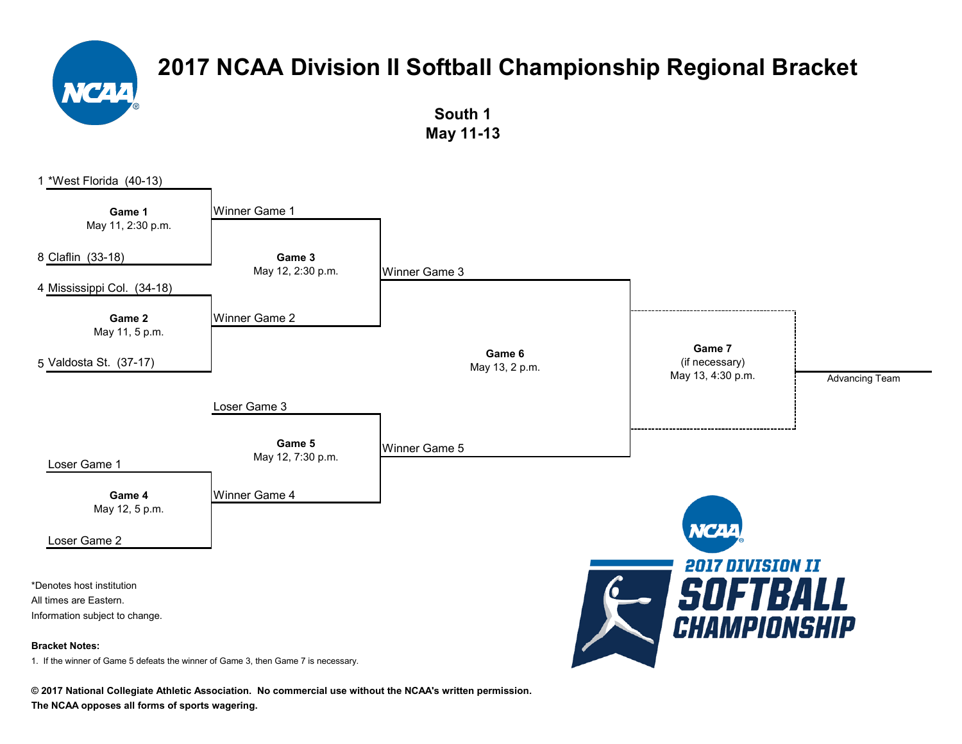**South 1 May 11-13**

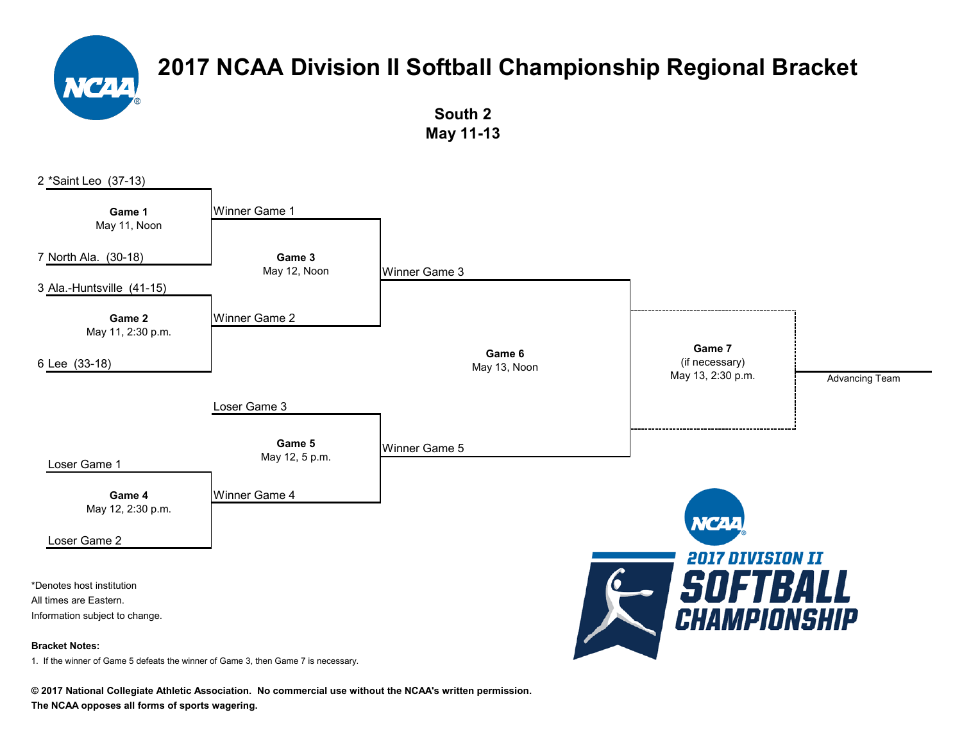**South 2 May 11-13**



**© 2017 National Collegiate Athletic Association. No commercial use without the NCAA's written permission.**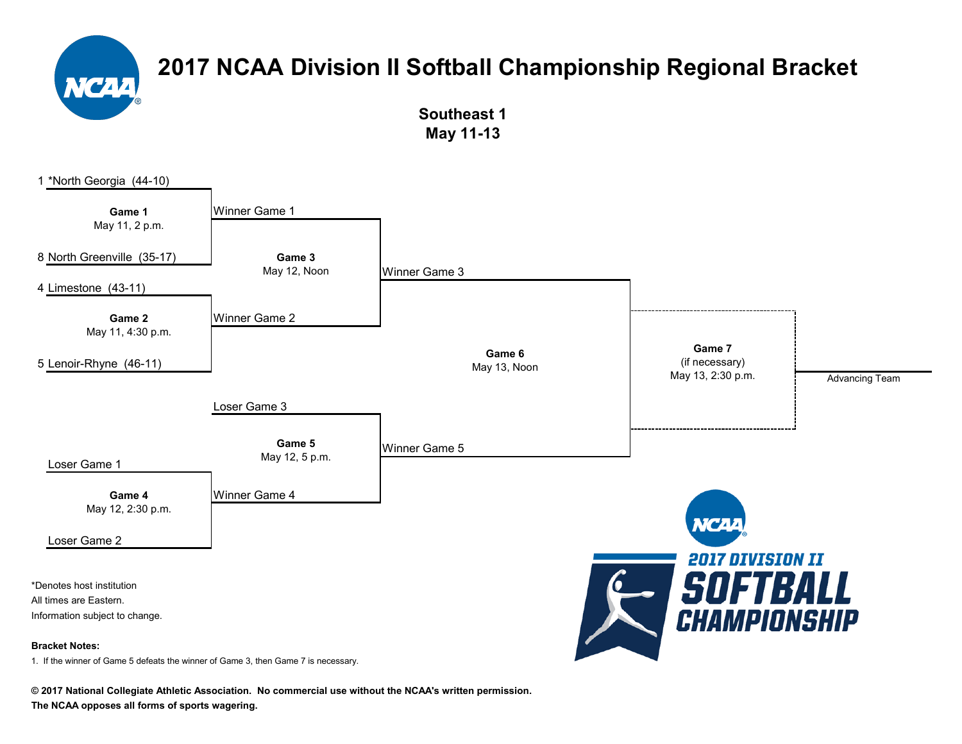

**Southeast 1 May 11-13**



**© 2017 National Collegiate Athletic Association. No commercial use without the NCAA's written permission.**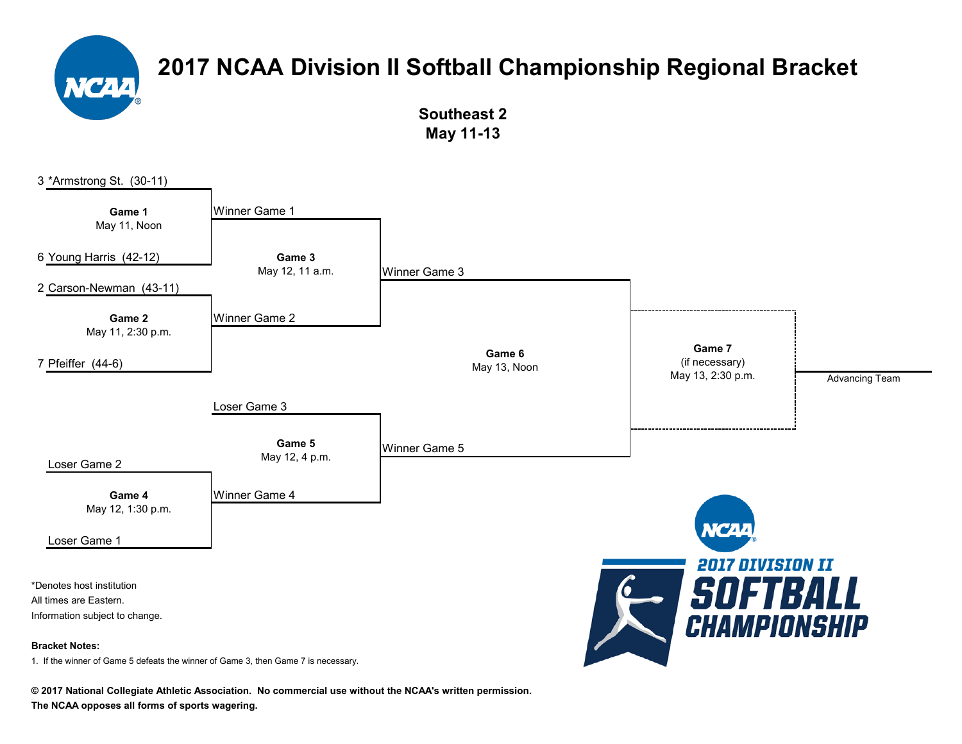

**Southeast 2 May 11-13**

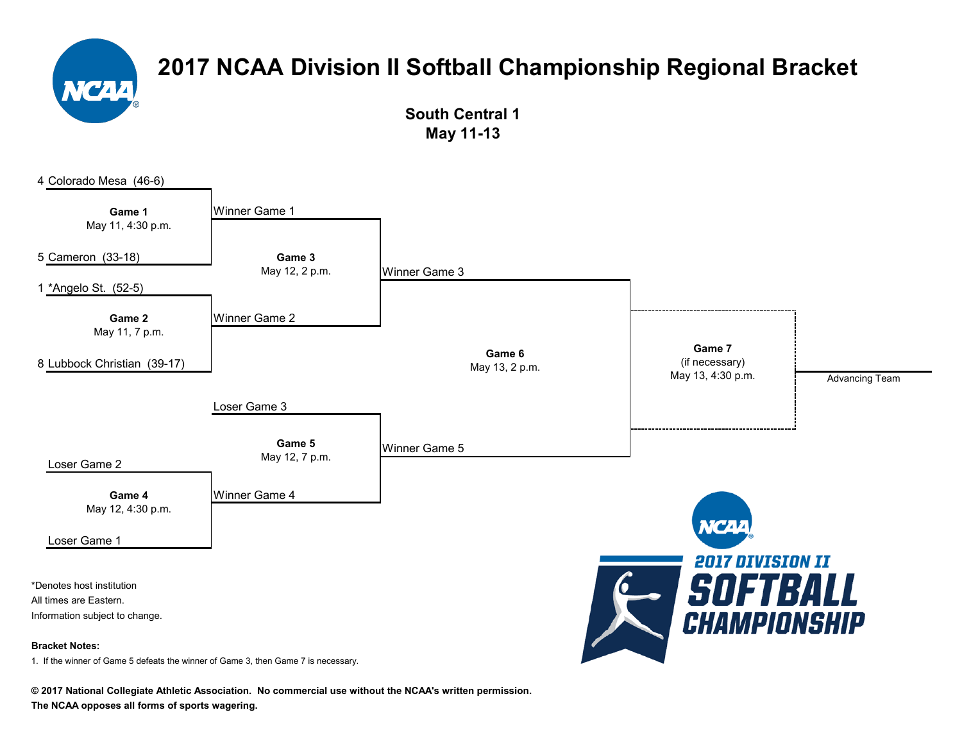

**South Central 1 May 11-13**



**© 2017 National Collegiate Athletic Association. No commercial use without the NCAA's written permission.**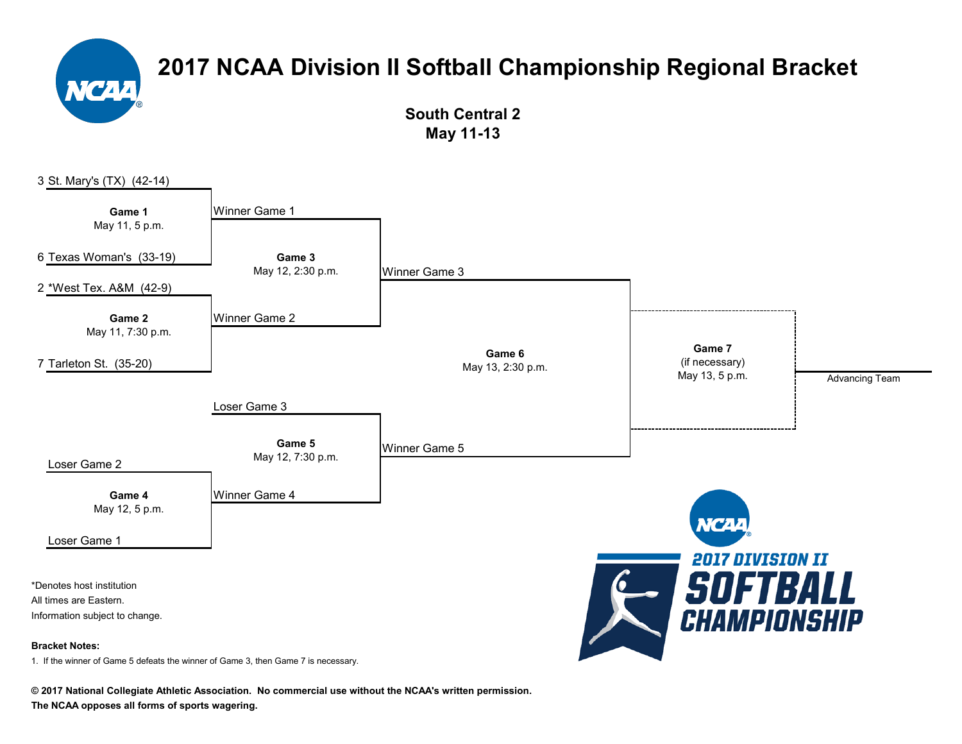

**South Central 2 May 11-13**



**© 2017 National Collegiate Athletic Association. No commercial use without the NCAA's written permission.**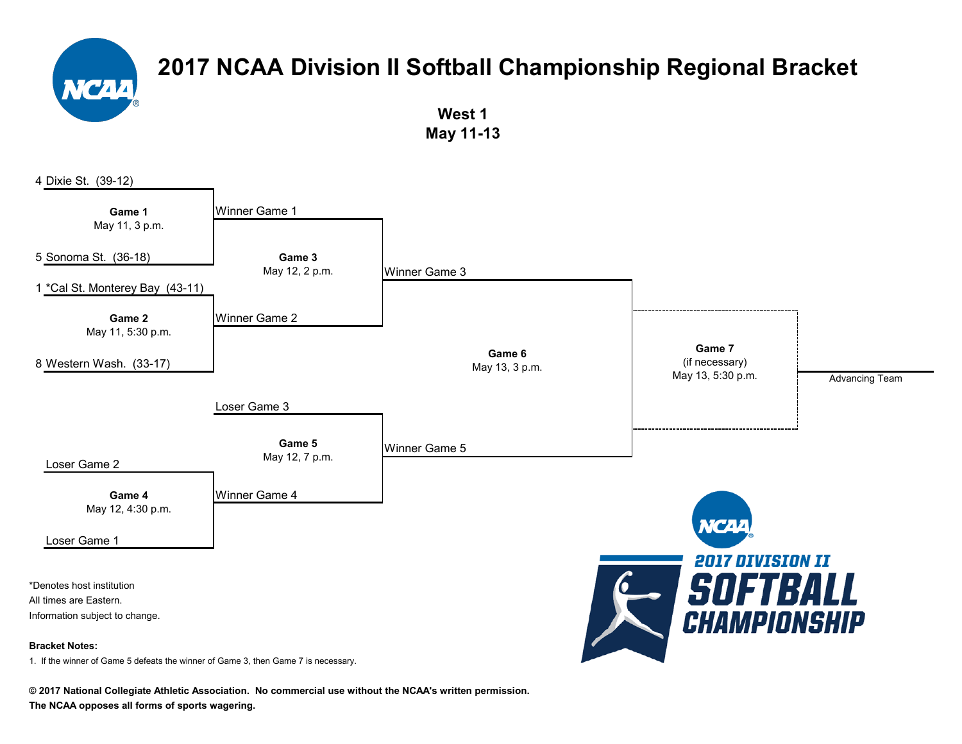

**West 1 May 11-13**



**© 2017 National Collegiate Athletic Association. No commercial use without the NCAA's written permission.**